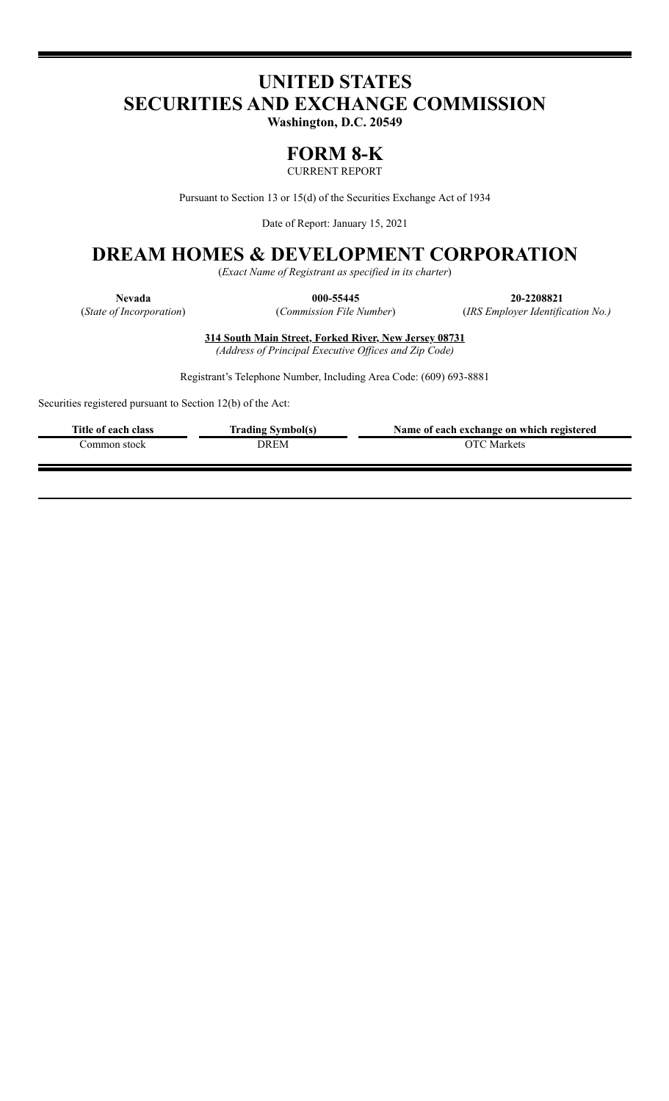# **UNITED STATES SECURITIES AND EXCHANGE COMMISSION**

**Washington, D.C. 20549**

## **FORM 8-K**

CURRENT REPORT

Pursuant to Section 13 or 15(d) of the Securities Exchange Act of 1934

Date of Report: January 15, 2021

# **DREAM HOMES & DEVELOPMENT CORPORATION**

(*Exact Name of Registrant as specified in its charter*)

**Nevada 000-55445 20-2208821** (*State of Incorporation*) (*Commission File Number*) (*IRS Employer Identification No.)*

> **314 South Main Street, Forked River, New Jersey 08731** *(Address of Principal Executive Of ices and Zip Code)*

Registrant's Telephone Number, Including Area Code: (609) 693-8881

Securities registered pursuant to Section 12(b) of the Act:

| Title of each class | <b>Trading Symbol(s)</b> | Name of each exchange on which registered |
|---------------------|--------------------------|-------------------------------------------|
| Common stock-       | OREM                     | OTC Markets                               |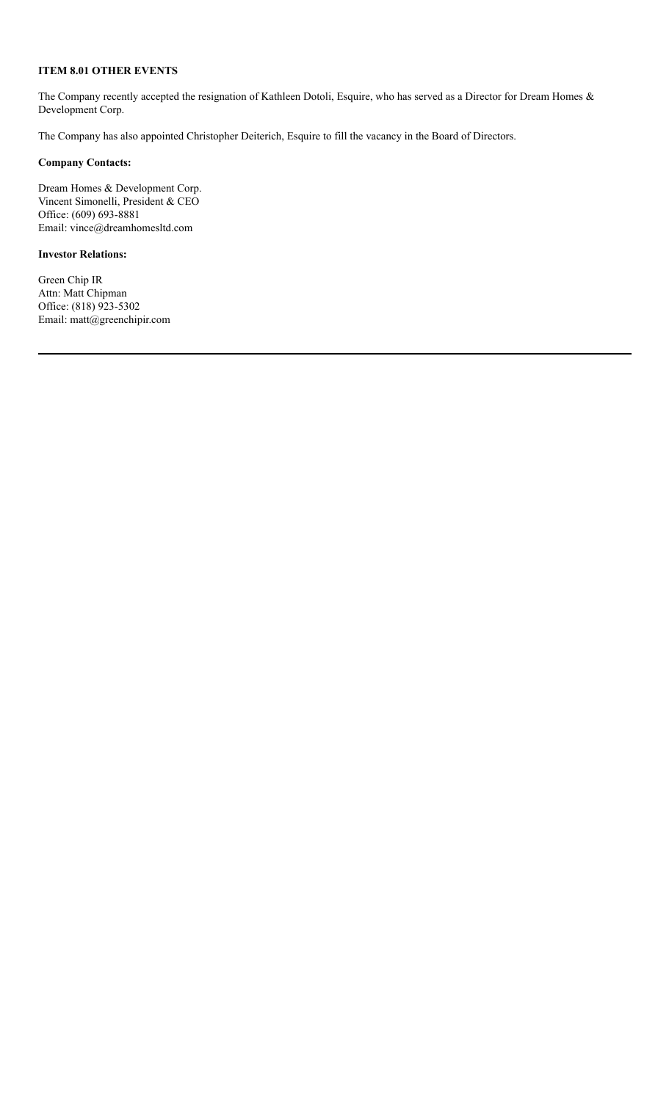#### **ITEM 8.01 OTHER EVENTS**

The Company recently accepted the resignation of Kathleen Dotoli, Esquire, who has served as a Director for Dream Homes & Development Corp.

The Company has also appointed Christopher Deiterich, Esquire to fill the vacancy in the Board of Directors.

#### **Company Contacts:**

Dream Homes & Development Corp. Vincent Simonelli, President & CEO Office: (609) 693-8881 Email: vince@dreamhomesltd.com

#### **Investor Relations:**

Green Chip IR Attn: Matt Chipman Office: (818) 923-5302 Email: matt@greenchipir.com